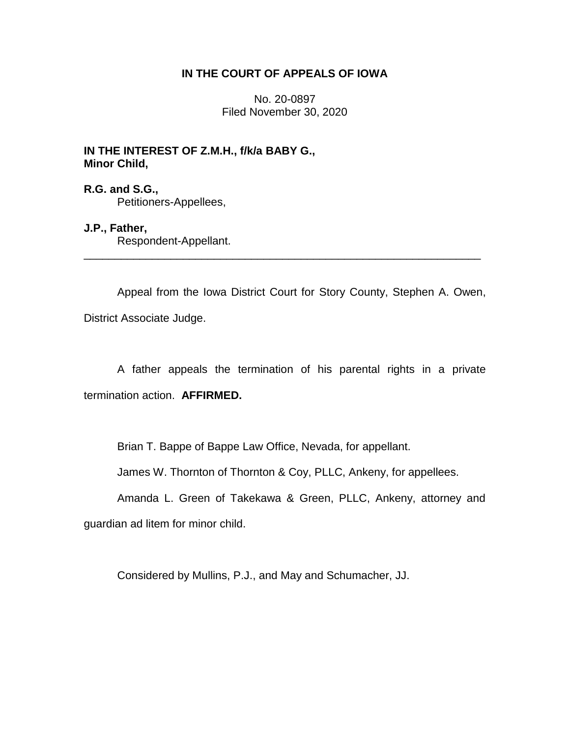## **IN THE COURT OF APPEALS OF IOWA**

No. 20-0897 Filed November 30, 2020

**IN THE INTEREST OF Z.M.H., f/k/a BABY G., Minor Child,**

**R.G. and S.G.,** Petitioners-Appellees,

**J.P., Father,** Respondent-Appellant.

Appeal from the Iowa District Court for Story County, Stephen A. Owen, District Associate Judge.

\_\_\_\_\_\_\_\_\_\_\_\_\_\_\_\_\_\_\_\_\_\_\_\_\_\_\_\_\_\_\_\_\_\_\_\_\_\_\_\_\_\_\_\_\_\_\_\_\_\_\_\_\_\_\_\_\_\_\_\_\_\_\_\_

A father appeals the termination of his parental rights in a private termination action. **AFFIRMED.**

Brian T. Bappe of Bappe Law Office, Nevada, for appellant.

James W. Thornton of Thornton & Coy, PLLC, Ankeny, for appellees.

Amanda L. Green of Takekawa & Green, PLLC, Ankeny, attorney and

guardian ad litem for minor child.

Considered by Mullins, P.J., and May and Schumacher, JJ.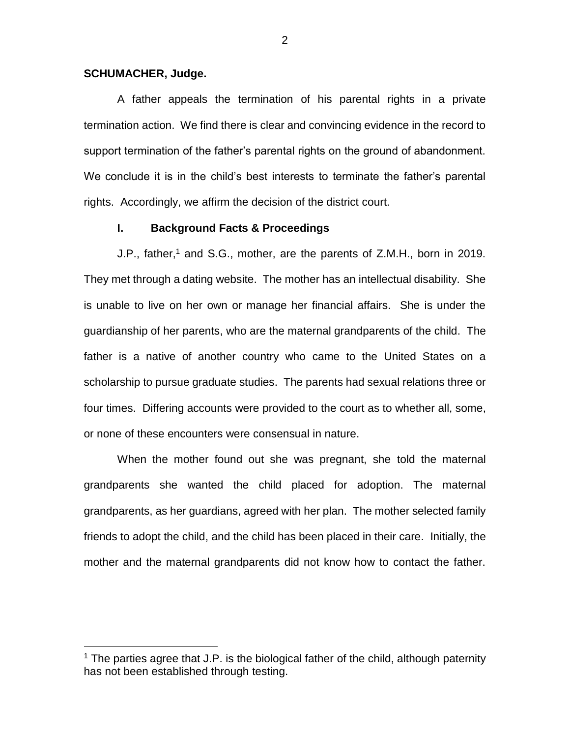### **SCHUMACHER, Judge.**

 $\overline{a}$ 

A father appeals the termination of his parental rights in a private termination action. We find there is clear and convincing evidence in the record to support termination of the father's parental rights on the ground of abandonment. We conclude it is in the child's best interests to terminate the father's parental rights. Accordingly, we affirm the decision of the district court.

### **I. Background Facts & Proceedings**

 $J.P.,$  father,<sup>1</sup> and S.G., mother, are the parents of Z.M.H., born in 2019. They met through a dating website. The mother has an intellectual disability. She is unable to live on her own or manage her financial affairs. She is under the guardianship of her parents, who are the maternal grandparents of the child. The father is a native of another country who came to the United States on a scholarship to pursue graduate studies. The parents had sexual relations three or four times. Differing accounts were provided to the court as to whether all, some, or none of these encounters were consensual in nature.

When the mother found out she was pregnant, she told the maternal grandparents she wanted the child placed for adoption. The maternal grandparents, as her guardians, agreed with her plan. The mother selected family friends to adopt the child, and the child has been placed in their care. Initially, the mother and the maternal grandparents did not know how to contact the father.

 $1$  The parties agree that J.P. is the biological father of the child, although paternity has not been established through testing.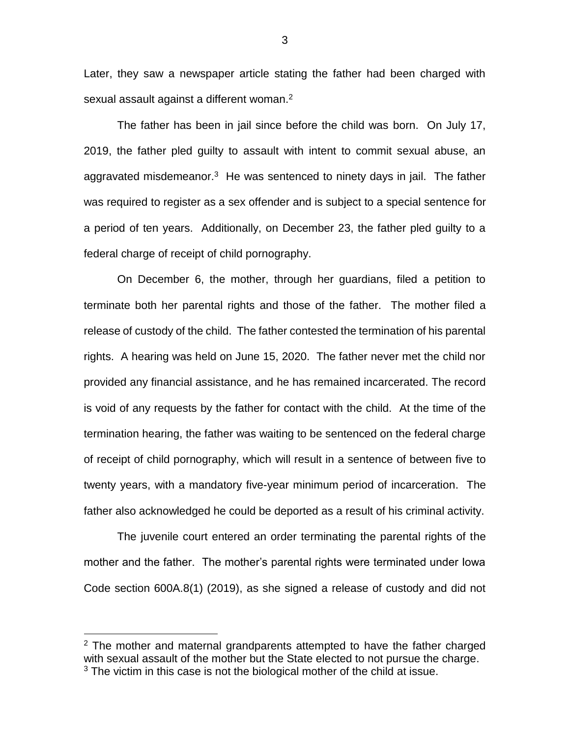Later, they saw a newspaper article stating the father had been charged with sexual assault against a different woman.<sup>2</sup>

The father has been in jail since before the child was born. On July 17, 2019, the father pled guilty to assault with intent to commit sexual abuse, an aggravated misdemeanor.<sup>3</sup> He was sentenced to ninety days in jail. The father was required to register as a sex offender and is subject to a special sentence for a period of ten years. Additionally, on December 23, the father pled guilty to a federal charge of receipt of child pornography.

On December 6, the mother, through her guardians, filed a petition to terminate both her parental rights and those of the father. The mother filed a release of custody of the child. The father contested the termination of his parental rights. A hearing was held on June 15, 2020. The father never met the child nor provided any financial assistance, and he has remained incarcerated. The record is void of any requests by the father for contact with the child. At the time of the termination hearing, the father was waiting to be sentenced on the federal charge of receipt of child pornography, which will result in a sentence of between five to twenty years, with a mandatory five-year minimum period of incarceration. The father also acknowledged he could be deported as a result of his criminal activity.

The juvenile court entered an order terminating the parental rights of the mother and the father. The mother's parental rights were terminated under Iowa Code section 600A.8(1) (2019), as she signed a release of custody and did not

 $\overline{a}$ 

 $2$  The mother and maternal grandparents attempted to have the father charged with sexual assault of the mother but the State elected to not pursue the charge.  $3$  The victim in this case is not the biological mother of the child at issue.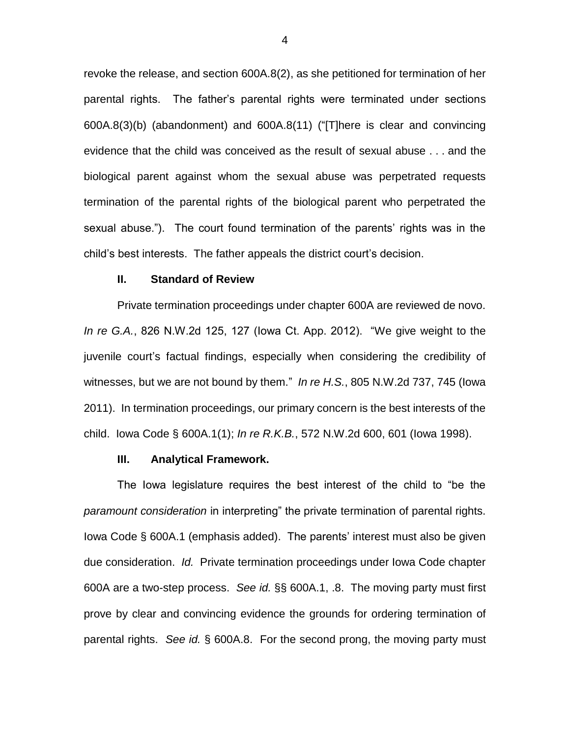revoke the release, and section 600A.8(2), as she petitioned for termination of her parental rights. The father's parental rights were terminated under sections 600A.8(3)(b) (abandonment) and 600A.8(11) ("[T]here is clear and convincing evidence that the child was conceived as the result of sexual abuse . . . and the biological parent against whom the sexual abuse was perpetrated requests termination of the parental rights of the biological parent who perpetrated the sexual abuse."). The court found termination of the parents' rights was in the child's best interests. The father appeals the district court's decision.

#### **II. Standard of Review**

Private termination proceedings under chapter 600A are reviewed de novo. *In re G.A.*, 826 N.W.2d 125, 127 (Iowa Ct. App. 2012). "We give weight to the juvenile court's factual findings, especially when considering the credibility of witnesses, but we are not bound by them." *In re H.S.*, 805 N.W.2d 737, 745 (Iowa 2011). In termination proceedings, our primary concern is the best interests of the child. Iowa Code § 600A.1(1); *In re R.K.B.*, 572 N.W.2d 600, 601 (Iowa 1998).

### **III. Analytical Framework.**

The Iowa legislature requires the best interest of the child to "be the *paramount consideration* in interpreting" the private termination of parental rights. Iowa Code § 600A.1 (emphasis added). The parents' interest must also be given due consideration. *Id.* Private termination proceedings under Iowa Code chapter 600A are a two-step process. *See id.* §§ 600A.1, .8. The moving party must first prove by clear and convincing evidence the grounds for ordering termination of parental rights. *See id.* § 600A.8. For the second prong, the moving party must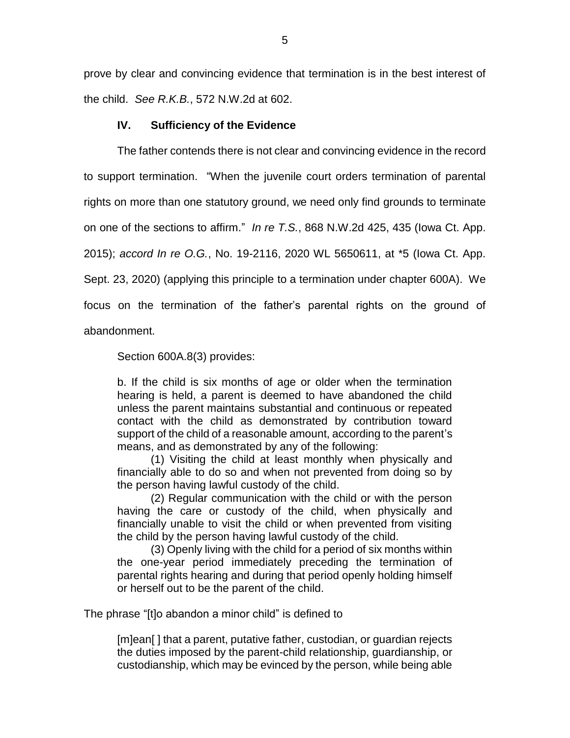prove by clear and convincing evidence that termination is in the best interest of the child. *See R.K.B.*, 572 N.W.2d at 602.

# **IV. Sufficiency of the Evidence**

The father contends there is not clear and convincing evidence in the record to support termination. "When the juvenile court orders termination of parental rights on more than one statutory ground, we need only find grounds to terminate

on one of the sections to affirm." *In re T.S.*, 868 N.W.2d 425, 435 (Iowa Ct. App.

2015); *accord In re O.G.*, No. 19-2116, 2020 WL 5650611, at \*5 (Iowa Ct. App.

Sept. 23, 2020) (applying this principle to a termination under chapter 600A). We

focus on the termination of the father's parental rights on the ground of

abandonment.

Section 600A.8(3) provides:

b. If the child is six months of age or older when the termination hearing is held, a parent is deemed to have abandoned the child unless the parent maintains substantial and continuous or repeated contact with the child as demonstrated by contribution toward support of the child of a reasonable amount, according to the parent's means, and as demonstrated by any of the following:

(1) Visiting the child at least monthly when physically and financially able to do so and when not prevented from doing so by the person having lawful custody of the child.

(2) Regular communication with the child or with the person having the care or custody of the child, when physically and financially unable to visit the child or when prevented from visiting the child by the person having lawful custody of the child.

(3) Openly living with the child for a period of six months within the one-year period immediately preceding the termination of parental rights hearing and during that period openly holding himself or herself out to be the parent of the child.

The phrase "[t]o abandon a minor child" is defined to

[m]ean[ ] that a parent, putative father, custodian, or guardian rejects the duties imposed by the parent-child relationship, guardianship, or custodianship, which may be evinced by the person, while being able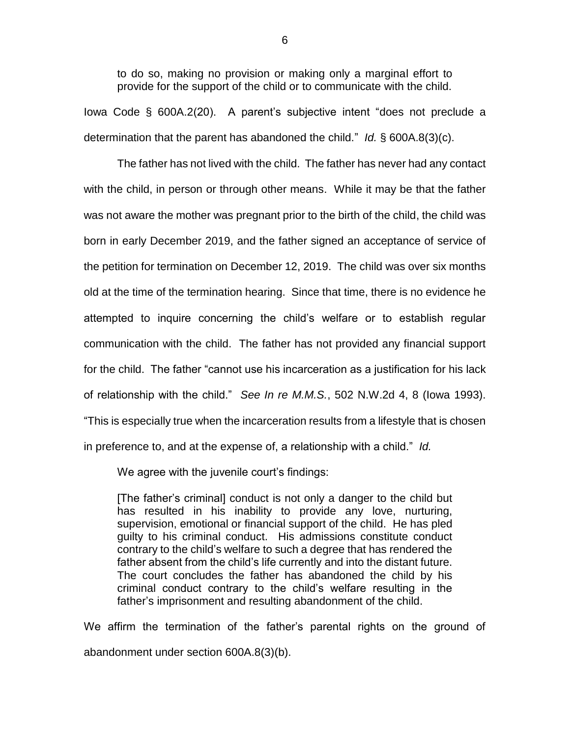to do so, making no provision or making only a marginal effort to provide for the support of the child or to communicate with the child.

Iowa Code § 600A.2(20). A parent's subjective intent "does not preclude a determination that the parent has abandoned the child." *Id.* § 600A.8(3)(c).

The father has not lived with the child. The father has never had any contact with the child, in person or through other means. While it may be that the father was not aware the mother was pregnant prior to the birth of the child, the child was born in early December 2019, and the father signed an acceptance of service of the petition for termination on December 12, 2019. The child was over six months old at the time of the termination hearing. Since that time, there is no evidence he attempted to inquire concerning the child's welfare or to establish regular communication with the child. The father has not provided any financial support for the child. The father "cannot use his incarceration as a justification for his lack of relationship with the child." *See In re M.M.S.*, 502 N.W.2d 4, 8 (Iowa 1993). "This is especially true when the incarceration results from a lifestyle that is chosen in preference to, and at the expense of, a relationship with a child." *Id.*

We agree with the juvenile court's findings:

[The father's criminal] conduct is not only a danger to the child but has resulted in his inability to provide any love, nurturing, supervision, emotional or financial support of the child. He has pled guilty to his criminal conduct. His admissions constitute conduct contrary to the child's welfare to such a degree that has rendered the father absent from the child's life currently and into the distant future. The court concludes the father has abandoned the child by his criminal conduct contrary to the child's welfare resulting in the father's imprisonment and resulting abandonment of the child.

We affirm the termination of the father's parental rights on the ground of abandonment under section 600A.8(3)(b).